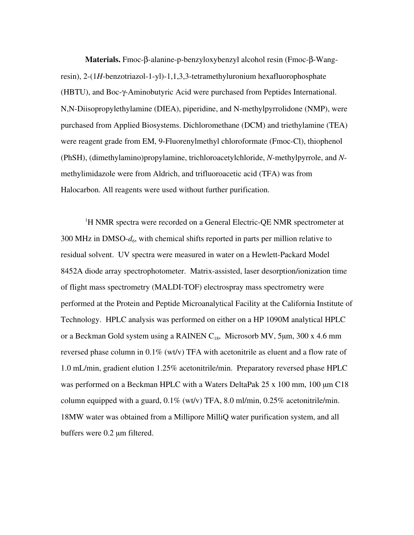**Materials.** Fmoc-β-alanine-p-benzyloxybenzyl alcohol resin (Fmoc-β-Wangresin), 2-(1*H*-benzotriazol-1-yl)-1,1,3,3-tetramethyluronium hexafluorophosphate (HBTU), and Boc-γ-Aminobutyric Acid were purchased from Peptides International. N,N-Diisopropylethylamine (DIEA), piperidine, and N-methylpyrrolidone (NMP), were purchased from Applied Biosystems. Dichloromethane (DCM) and triethylamine (TEA) were reagent grade from EM, 9-Fluorenylmethyl chloroformate (Fmoc-Cl), thiophenol (PhSH), (dimethylamino)propylamine, trichloroacetylchloride, *N*-methylpyrrole, and *N*methylimidazole were from Aldrich, and trifluoroacetic acid (TFA) was from Halocarbon. All reagents were used without further purification.

<sup>1</sup>H NMR spectra were recorded on a General Electric-QE NMR spectrometer at 300 MHz in DMSO-*d6*, with chemical shifts reported in parts per million relative to residual solvent. UV spectra were measured in water on a Hewlett-Packard Model 8452A diode array spectrophotometer. Matrix-assisted, laser desorption/ionization time of flight mass spectrometry (MALDI-TOF) electrospray mass spectrometry were performed at the Protein and Peptide Microanalytical Facility at the California Institute of Technology. HPLC analysis was performed on either on a HP 1090M analytical HPLC or a Beckman Gold system using a RAINEN  $C_{18}$ , Microsorb MV, 5µm, 300 x 4.6 mm reversed phase column in 0.1% (wt/v) TFA with acetonitrile as eluent and a flow rate of 1.0 mL/min, gradient elution 1.25% acetonitrile/min. Preparatory reversed phase HPLC was performed on a Beckman HPLC with a Waters DeltaPak 25 x 100 mm, 100  $\mu$ m C18 column equipped with a guard,  $0.1\%$  (wt/v) TFA, 8.0 ml/min,  $0.25\%$  acetonitrile/min. 18MW water was obtained from a Millipore MilliQ water purification system, and all buffers were 0.2 µm filtered.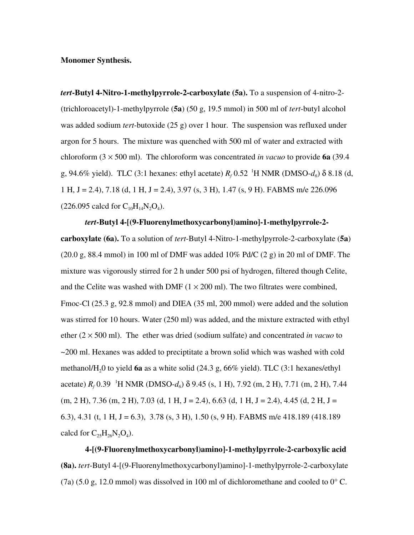## **Monomer Synthesis.**

*tert***-Butyl 4-Nitro-1-methylpyrrole-2-carboxylate (5a).** To a suspension of 4-nitro-2- (trichloroacetyl)-1-methylpyrrole (**5a**) (50 g, 19.5 mmol) in 500 ml of *tert*-butyl alcohol was added sodium *tert*-butoxide (25 g) over 1 hour. The suspension was refluxed under argon for 5 hours. The mixture was quenched with 500 ml of water and extracted with chloroform  $(3 \times 500 \text{ ml})$ . The chloroform was concentrated *in vacuo* to provide **6a** (39.4) g, 94.6% yield). TLC (3:1 hexanes: ethyl acetate)  $R_f$  0.52 <sup>1</sup>H NMR (DMSO- $d_6$ ) δ 8.18 (d, 1 H, J = 2.4), 7.18 (d, 1 H, J = 2.4), 3.97 (s, 3 H), 1.47 (s, 9 H). FABMS m/e 226.096  $(226.095 \text{ calcd for } C_{10}H_{14}N_2O_4).$ 

*tert***-Butyl 4-[(9-Fluorenylmethoxycarbonyl)amino]-1-methylpyrrole-2 carboxylate (6a).** To a solution of *tert*-Butyl 4-Nitro-1-methylpyrrole-2-carboxylate (**5a**)  $(20.0 \text{ g}, 88.4 \text{ mmol})$  in 100 ml of DMF was added  $10\%$  Pd/C  $(2 \text{ g})$  in 20 ml of DMF. The mixture was vigorously stirred for 2 h under 500 psi of hydrogen, filtered though Celite, and the Celite was washed with DMF  $(1 \times 200 \text{ ml})$ . The two filtrates were combined, Fmoc-Cl (25.3 g, 92.8 mmol) and DIEA (35 ml, 200 mmol) were added and the solution was stirred for 10 hours. Water (250 ml) was added, and the mixture extracted with ethyl ether  $(2 \times 500 \text{ ml})$ . The ether was dried (sodium sulfate) and concentrated *in vacuo* to ~200 ml. Hexanes was added to preciptitate a brown solid which was washed with cold methanol/H20 to yield **6a** as a white solid (24.3 g, 66% yield). TLC (3:1 hexanes/ethyl acetate) *R<sub>f</sub>* 0.39 <sup>1</sup>H NMR (DMSO-*d<sub>6</sub>*) δ 9.45 (s, 1 H), 7.92 (m, 2 H), 7.71 (m, 2 H), 7.44  $(m, 2 H), 7.36$   $(m, 2 H), 7.03$   $(d, 1 H, J = 2.4), 6.63$   $(d, 1 H, J = 2.4), 4.45$   $(d, 2 H, J = 2.4)$ 6.3), 4.31 (t, 1 H, J = 6.3), 3.78 (s, 3 H), 1.50 (s, 9 H). FABMS m/e 418.189 (418.189) calcd for  $C_{25}H_{26}N_2O_4$ .

**4-[(9-Fluorenylmethoxycarbonyl)amino]-1-methylpyrrole-2-carboxylic acid (8a).** *tert*-Butyl 4-[(9-Fluorenylmethoxycarbonyl)amino]-1-methylpyrrole-2-carboxylate (7a) (5.0 g, 12.0 mmol) was dissolved in 100 ml of dichloromethane and cooled to  $0^{\circ}$  C.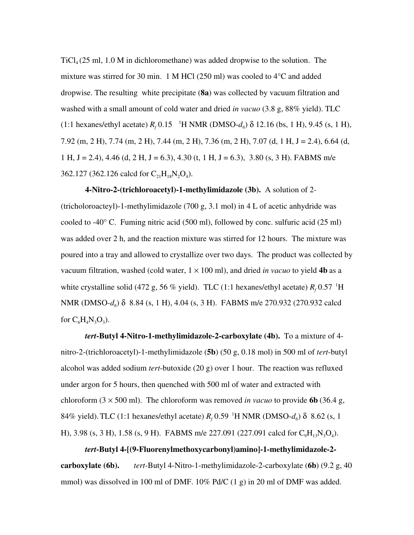$TiCl<sub>4</sub>(25 ml, 1.0 M in dichloromethane)$  was added dropwise to the solution. The mixture was stirred for 30 min. 1 M HCl (250 ml) was cooled to  $4^{\circ}$ C and added dropwise. The resulting white precipitate (**8a**) was collected by vacuum filtration and washed with a small amount of cold water and dried *in vacuo* (3.8 g, 88% yield). TLC (1:1 hexanes/ethyl acetate)  $R_f$  0.15 <sup>-1</sup>H NMR (DMSO- $d_6$ ) δ 12.16 (bs, 1 H), 9.45 (s, 1 H), 7.92 (m, 2 H), 7.74 (m, 2 H), 7.44 (m, 2 H), 7.36 (m, 2 H), 7.07 (d, 1 H, J = 2.4), 6.64 (d, 1 H, J = 2.4), 4.46 (d, 2 H, J = 6.3), 4.30 (t, 1 H, J = 6.3), 3.80 (s, 3 H). FABMS m/e 362.127 (362.126 calcd for  $C_{21}H_{18}N_2O_4$ ).

**4-Nitro-2-(trichloroacetyl)-1-methylimidazole (3b).** A solution of 2- (tricholoroacteyl)-1-methylimidazole (700 g, 3.1 mol) in 4 L of acetic anhydride was cooled to -40° C. Fuming nitric acid (500 ml), followed by conc. sulfuric acid (25 ml) was added over 2 h, and the reaction mixture was stirred for 12 hours. The mixture was poured into a tray and allowed to crystallize over two days. The product was collected by vacuum filtration, washed (cold water,  $1 \times 100$  ml), and dried *in vacuo* to yield **4b** as a white crystalline solid (472 g, 56 % yield). TLC (1:1 hexanes/ethyl acetate)  $R_f$  0.57 <sup>1</sup>H NMR (DMSO-*d<sub>6</sub>*) δ 8.84 (s, 1 H), 4.04 (s, 3 H). FABMS m/e 270.932 (270.932 calcd for  $C_6H_4N_3O_3$ ).

*tert***-Butyl 4-Nitro-1-methylimidazole-2-carboxylate (4b).** To a mixture of 4 nitro-2-(trichloroacetyl)-1-methylimidazole (**5b**) (50 g, 0.18 mol) in 500 ml of *tert*-butyl alcohol was added sodium *tert*-butoxide (20 g) over 1 hour. The reaction was refluxed under argon for 5 hours, then quenched with 500 ml of water and extracted with chloroform  $(3 \times 500 \text{ ml})$ . The chloroform was removed *in vacuo* to provide **6b** (36.4 g, 84% yield). TLC (1:1 hexanes/ethyl acetate)  $R_f$  0.59<sup>-1</sup>H NMR (DMSO- $d_6$ ) δ 8.62 (s, 1 H), 3.98 (s, 3 H), 1.58 (s, 9 H). FABMS m/e 227.091 (227.091 calcd for  $C_0H_{13}N_3O_4$ ).

*tert***-Butyl 4-[(9-Fluorenylmethoxycarbonyl)amino]-1-methylimidazole-2 carboxylate (6b).** *tert*-Butyl 4-Nitro-1-methylimidazole-2-carboxylate (**6b**) (9.2 g, 40 mmol) was dissolved in 100 ml of DMF. 10% Pd/C (1 g) in 20 ml of DMF was added.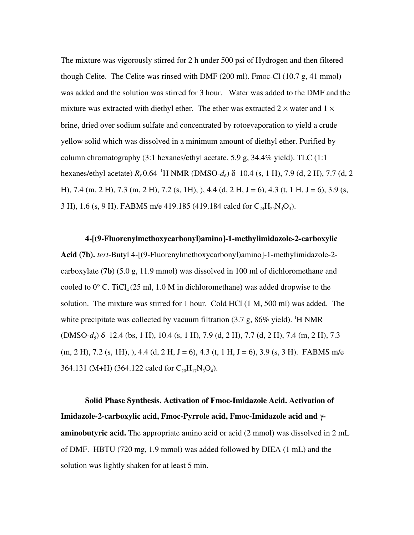The mixture was vigorously stirred for 2 h under 500 psi of Hydrogen and then filtered though Celite. The Celite was rinsed with DMF (200 ml). Fmoc-Cl (10.7 g, 41 mmol) was added and the solution was stirred for 3 hour. Water was added to the DMF and the mixture was extracted with diethyl ether. The ether was extracted  $2 \times$  water and  $1 \times$ brine, dried over sodium sulfate and concentrated by rotoevaporation to yield a crude yellow solid which was dissolved in a minimum amount of diethyl ether. Purified by column chromatography  $(3:1$  hexanes/ethyl acetate, 5.9 g, 34.4% yield). TLC  $(1:1)$ hexanes/ethyl acetate)  $R_f$  0.64 <sup>1</sup>H NMR (DMSO- $d_6$ ) δ 10.4 (s, 1 H), 7.9 (d, 2 H), 7.7 (d, 2 H), 7.4 (m, 2 H), 7.3 (m, 2 H), 7.2 (s, 1H), ), 4.4 (d, 2 H, J = 6), 4.3 (t, 1 H, J = 6), 3.9 (s, 3 H), 1.6 (s, 9 H). FABMS m/e 419.185 (419.184 calcd for  $C_{24}H_{25}N_{3}O_{4}$ ).

**4-[(9-Fluorenylmethoxycarbonyl)amino]-1-methylimidazole-2-carboxylic Acid (7b).** *tert*-Butyl 4-[(9-Fluorenylmethoxycarbonyl)amino]-1-methylimidazole-2 carboxylate (**7b**) (5.0 g, 11.9 mmol) was dissolved in 100 ml of dichloromethane and cooled to  $0^{\circ}$  C. TiCl<sub>4</sub> (25 ml, 1.0 M in dichloromethane) was added dropwise to the solution. The mixture was stirred for 1 hour. Cold HCl (1 M, 500 ml) was added. The white precipitate was collected by vacuum filtration  $(3.7 \text{ g}, 86\% \text{ yield})$ . <sup>1</sup>H NMR (DMSO-*d6*) δ 12.4 (bs, 1 H), 10.4 (s, 1 H), 7.9 (d, 2 H), 7.7 (d, 2 H), 7.4 (m, 2 H), 7.3  $(m, 2 H), 7.2$  (s, 1H), ), 4.4 (d, 2 H, J = 6), 4.3 (t, 1 H, J = 6), 3.9 (s, 3 H). FABMS m/e 364.131 (M+H) (364.122 calcd for  $C_{20}H_{17}N_3O_4$ ).

**Solid Phase Synthesis. Activation of Fmoc-Imidazole Acid. Activation of Imidazole-2-carboxylic acid, Fmoc-Pyrrole acid, Fmoc-Imidazole acid and** γ**aminobutyric acid.** The appropriate amino acid or acid (2 mmol) was dissolved in 2 mL of DMF. HBTU (720 mg, 1.9 mmol) was added followed by DIEA (1 mL) and the solution was lightly shaken for at least 5 min.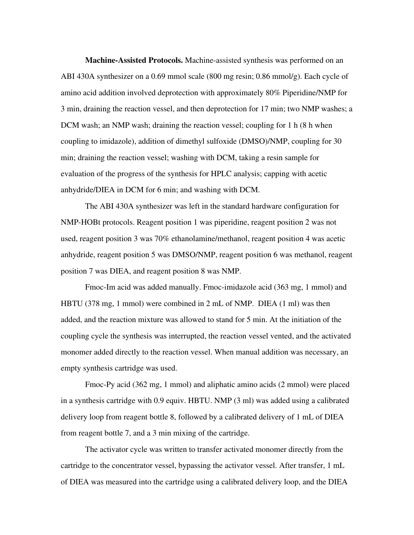**Machine-Assisted Protocols.** Machine-assisted synthesis was performed on an ABI 430A synthesizer on a 0.69 mmol scale (800 mg resin; 0.86 mmol/g). Each cycle of amino acid addition involved deprotection with approximately 80% Piperidine/NMP for 3 min, draining the reaction vessel, and then deprotection for 17 min; two NMP washes; a DCM wash; an NMP wash; draining the reaction vessel; coupling for 1 h (8 h when coupling to imidazole), addition of dimethyl sulfoxide (DMSO)/NMP, coupling for 30 min; draining the reaction vessel; washing with DCM, taking a resin sample for evaluation of the progress of the synthesis for HPLC analysis; capping with acetic anhydride/DIEA in DCM for 6 min; and washing with DCM.

The ABI 430A synthesizer was left in the standard hardware configuration for NMP-HOBt protocols. Reagent position 1 was piperidine, reagent position 2 was not used, reagent position 3 was 70% ethanolamine/methanol, reagent position 4 was acetic anhydride, reagent position 5 was DMSO/NMP, reagent position 6 was methanol, reagent position 7 was DIEA, and reagent position 8 was NMP.

Fmoc-Im acid was added manually. Fmoc-imidazole acid (363 mg, 1 mmol) and HBTU (378 mg, 1 mmol) were combined in 2 mL of NMP. DIEA (1 ml) was then added, and the reaction mixture was allowed to stand for 5 min. At the initiation of the coupling cycle the synthesis was interrupted, the reaction vessel vented, and the activated monomer added directly to the reaction vessel. When manual addition was necessary, an empty synthesis cartridge was used.

Fmoc-Py acid (362 mg, 1 mmol) and aliphatic amino acids (2 mmol) were placed in a synthesis cartridge with 0.9 equiv. HBTU. NMP (3 ml) was added using a calibrated delivery loop from reagent bottle 8, followed by a calibrated delivery of 1 mL of DIEA from reagent bottle 7, and a 3 min mixing of the cartridge.

The activator cycle was written to transfer activated monomer directly from the cartridge to the concentrator vessel, bypassing the activator vessel. After transfer, 1 mL of DIEA was measured into the cartridge using a calibrated delivery loop, and the DIEA